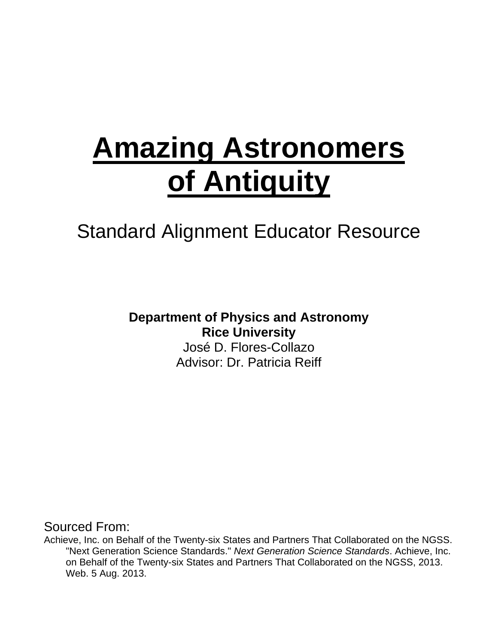# **Amazing Astronomers of Antiquity**

# Standard Alignment Educator Resource

**Department of Physics and Astronomy Rice University** 

> José D. Flores-Collazo Advisor: Dr. Patricia Reiff

Sourced From:

Achieve, Inc. on Behalf of the Twenty-six States and Partners That Collaborated on the NGSS. "Next Generation Science Standards." *Next Generation Science Standards*. Achieve, Inc. on Behalf of the Twenty-six States and Partners That Collaborated on the NGSS, 2013. Web. 5 Aug. 2013.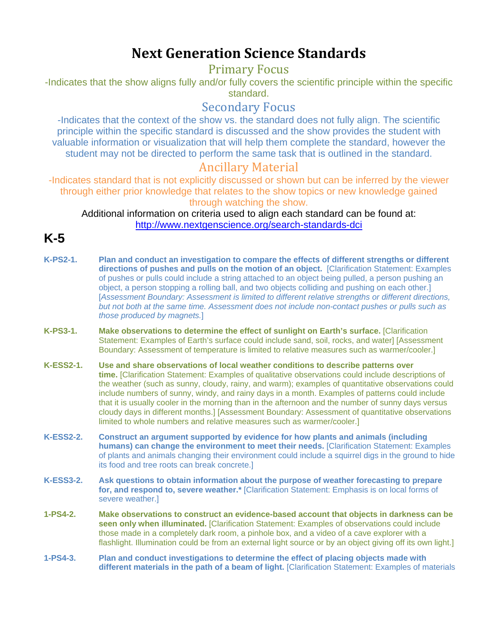# **Next Generation Science Standards**

Primary Focus 

-Indicates that the show aligns fully and/or fully covers the scientific principle within the specific standard.

#### **Secondary Focus**

-Indicates that the context of the show vs. the standard does not fully align. The scientific principle within the specific standard is discussed and the show provides the student with valuable information or visualization that will help them complete the standard, however the student may not be directed to perform the same task that is outlined in the standard.

#### Ancillary Material

-Indicates standard that is not explicitly discussed or shown but can be inferred by the viewer through either prior knowledge that relates to the show topics or new knowledge gained through watching the show.

Additional information on criteria used to align each standard can be found at: http://www.nextgenscience.org/search-standards-dci

### **K-5**

- **K-PS2-1. Plan and conduct an investigation to compare the effects of different strengths or different directions of pushes and pulls on the motion of an object.** [Clarification Statement: Examples of pushes or pulls could include a string attached to an object being pulled, a person pushing an object, a person stopping a rolling ball, and two objects colliding and pushing on each other.] [*Assessment Boundary: Assessment is limited to different relative strengths or different directions, but not both at the same time. Assessment does not include non-contact pushes or pulls such as those produced by magnets.*]
- **K-PS3-1. Make observations to determine the effect of sunlight on Earth's surface.** [Clarification Statement: Examples of Earth's surface could include sand, soil, rocks, and water] [Assessment Boundary: Assessment of temperature is limited to relative measures such as warmer/cooler.]
- **K-ESS2-1. Use and share observations of local weather conditions to describe patterns over time.** [Clarification Statement: Examples of qualitative observations could include descriptions of the weather (such as sunny, cloudy, rainy, and warm); examples of quantitative observations could include numbers of sunny, windy, and rainy days in a month. Examples of patterns could include that it is usually cooler in the morning than in the afternoon and the number of sunny days versus cloudy days in different months.] [Assessment Boundary: Assessment of quantitative observations limited to whole numbers and relative measures such as warmer/cooler.]
- **K-ESS2-2. Construct an argument supported by evidence for how plants and animals (including humans) can change the environment to meet their needs.** [Clarification Statement: Examples of plants and animals changing their environment could include a squirrel digs in the ground to hide its food and tree roots can break concrete.]
- **K-ESS3-2. Ask questions to obtain information about the purpose of weather forecasting to prepare for, and respond to, severe weather.\*** [Clarification Statement: Emphasis is on local forms of severe weather.]
- **1-PS4-2. Make observations to construct an evidence-based account that objects in darkness can be seen only when illuminated.** [Clarification Statement: Examples of observations could include those made in a completely dark room, a pinhole box, and a video of a cave explorer with a flashlight. Illumination could be from an external light source or by an object giving off its own light.]
- **1-PS4-3. Plan and conduct investigations to determine the effect of placing objects made with different materials in the path of a beam of light.** [Clarification Statement: Examples of materials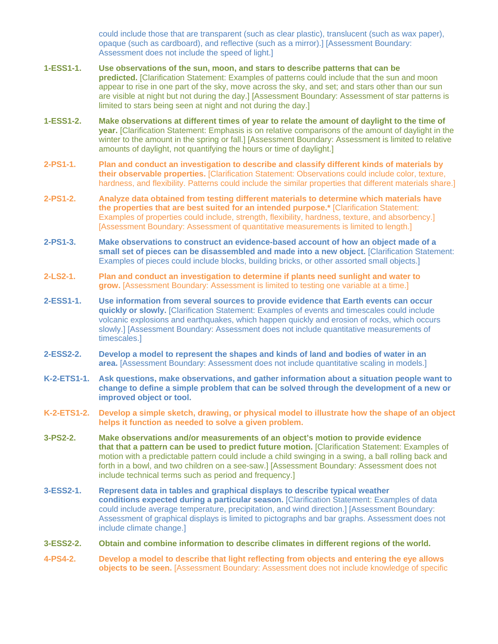could include those that are transparent (such as clear plastic), translucent (such as wax paper), opaque (such as cardboard), and reflective (such as a mirror).] [Assessment Boundary: Assessment does not include the speed of light.]

- **1-ESS1-1. Use observations of the sun, moon, and stars to describe patterns that can be predicted.** [Clarification Statement: Examples of patterns could include that the sun and moon appear to rise in one part of the sky, move across the sky, and set; and stars other than our sun are visible at night but not during the day.] [Assessment Boundary: Assessment of star patterns is limited to stars being seen at night and not during the day.]
- **1-ESS1-2. Make observations at different times of year to relate the amount of daylight to the time of year.** [Clarification Statement: Emphasis is on relative comparisons of the amount of daylight in the winter to the amount in the spring or fall.] [Assessment Boundary: Assessment is limited to relative amounts of daylight, not quantifying the hours or time of daylight.]
- **2-PS1-1. Plan and conduct an investigation to describe and classify different kinds of materials by their observable properties.** [Clarification Statement: Observations could include color, texture, hardness, and flexibility. Patterns could include the similar properties that different materials share.]
- **2-PS1-2. Analyze data obtained from testing different materials to determine which materials have the properties that are best suited for an intended purpose.\*** [Clarification Statement: Examples of properties could include, strength, flexibility, hardness, texture, and absorbency.] [Assessment Boundary: Assessment of quantitative measurements is limited to length.]
- **2-PS1-3. Make observations to construct an evidence-based account of how an object made of a small set of pieces can be disassembled and made into a new object.** [Clarification Statement: Examples of pieces could include blocks, building bricks, or other assorted small objects.]
- **2-LS2-1. Plan and conduct an investigation to determine if plants need sunlight and water to grow.** [Assessment Boundary: Assessment is limited to testing one variable at a time.]
- **2-ESS1-1. Use information from several sources to provide evidence that Earth events can occur quickly or slowly.** [Clarification Statement: Examples of events and timescales could include volcanic explosions and earthquakes, which happen quickly and erosion of rocks, which occurs slowly.] [Assessment Boundary: Assessment does not include quantitative measurements of timescales.]
- **2-ESS2-2. Develop a model to represent the shapes and kinds of land and bodies of water in an area.** [Assessment Boundary: Assessment does not include quantitative scaling in models.]
- **K-2-ETS1-1. Ask questions, make observations, and gather information about a situation people want to change to define a simple problem that can be solved through the development of a new or improved object or tool.**
- **K-2-ETS1-2. Develop a simple sketch, drawing, or physical model to illustrate how the shape of an object helps it function as needed to solve a given problem.**
- **3-PS2-2. Make observations and/or measurements of an object's motion to provide evidence that that a pattern can be used to predict future motion.** [Clarification Statement: Examples of motion with a predictable pattern could include a child swinging in a swing, a ball rolling back and forth in a bowl, and two children on a see-saw.] [Assessment Boundary: Assessment does not include technical terms such as period and frequency.]
- **3-ESS2-1. Represent data in tables and graphical displays to describe typical weather conditions expected during a particular season.** [Clarification Statement: Examples of data could include average temperature, precipitation, and wind direction.] [Assessment Boundary: Assessment of graphical displays is limited to pictographs and bar graphs. Assessment does not include climate change.]
- **3-ESS2-2. Obtain and combine information to describe climates in different regions of the world.**
- **4-PS4-2. Develop a model to describe that light reflecting from objects and entering the eye allows objects to be seen.** [Assessment Boundary: Assessment does not include knowledge of specific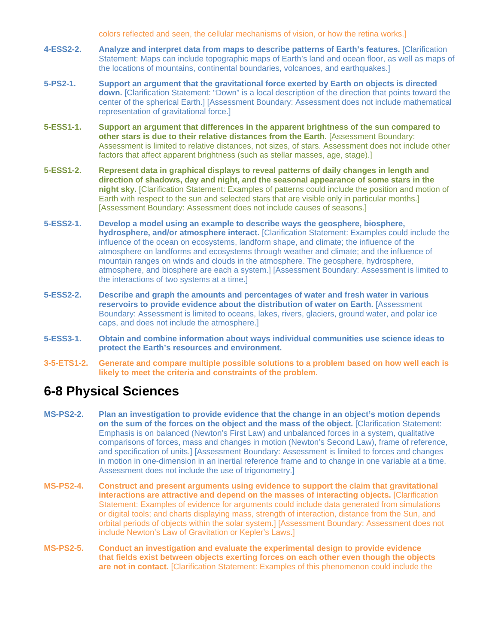colors reflected and seen, the cellular mechanisms of vision, or how the retina works.]

- **4-ESS2-2. Analyze and interpret data from maps to describe patterns of Earth's features.** [Clarification Statement: Maps can include topographic maps of Earth's land and ocean floor, as well as maps of the locations of mountains, continental boundaries, volcanoes, and earthquakes.]
- **5-PS2-1. Support an argument that the gravitational force exerted by Earth on objects is directed down.** [Clarification Statement: "Down" is a local description of the direction that points toward the center of the spherical Earth.] [Assessment Boundary: Assessment does not include mathematical representation of gravitational force.]
- **5-ESS1-1. Support an argument that differences in the apparent brightness of the sun compared to other stars is due to their relative distances from the Earth.** [Assessment Boundary: Assessment is limited to relative distances, not sizes, of stars. Assessment does not include other factors that affect apparent brightness (such as stellar masses, age, stage).]
- **5-ESS1-2. Represent data in graphical displays to reveal patterns of daily changes in length and direction of shadows, day and night, and the seasonal appearance of some stars in the night sky.** [Clarification Statement: Examples of patterns could include the position and motion of Earth with respect to the sun and selected stars that are visible only in particular months.] [Assessment Boundary: Assessment does not include causes of seasons.]
- **5-ESS2-1. Develop a model using an example to describe ways the geosphere, biosphere, hydrosphere, and/or atmosphere interact.** [Clarification Statement: Examples could include the influence of the ocean on ecosystems, landform shape, and climate; the influence of the atmosphere on landforms and ecosystems through weather and climate; and the influence of mountain ranges on winds and clouds in the atmosphere. The geosphere, hydrosphere, atmosphere, and biosphere are each a system.] [Assessment Boundary: Assessment is limited to the interactions of two systems at a time.]
- **5-ESS2-2. Describe and graph the amounts and percentages of water and fresh water in various reservoirs to provide evidence about the distribution of water on Earth.** [Assessment Boundary: Assessment is limited to oceans, lakes, rivers, glaciers, ground water, and polar ice caps, and does not include the atmosphere.]
- **5-ESS3-1. Obtain and combine information about ways individual communities use science ideas to protect the Earth's resources and environment.**
- **3-5-ETS1-2. Generate and compare multiple possible solutions to a problem based on how well each is likely to meet the criteria and constraints of the problem.**

#### **6-8 Physical Sciences**

- **MS-PS2-2. Plan an investigation to provide evidence that the change in an object's motion depends on the sum of the forces on the object and the mass of the object.** [Clarification Statement: Emphasis is on balanced (Newton's First Law) and unbalanced forces in a system, qualitative comparisons of forces, mass and changes in motion (Newton's Second Law), frame of reference, and specification of units.] [Assessment Boundary: Assessment is limited to forces and changes in motion in one-dimension in an inertial reference frame and to change in one variable at a time. Assessment does not include the use of trigonometry.]
- **MS-PS2-4. Construct and present arguments using evidence to support the claim that gravitational interactions are attractive and depend on the masses of interacting objects.** [Clarification Statement: Examples of evidence for arguments could include data generated from simulations or digital tools; and charts displaying mass, strength of interaction, distance from the Sun, and orbital periods of objects within the solar system.] [Assessment Boundary: Assessment does not include Newton's Law of Gravitation or Kepler's Laws.]
- **MS-PS2-5. Conduct an investigation and evaluate the experimental design to provide evidence that fields exist between objects exerting forces on each other even though the objects are not in contact.** [Clarification Statement: Examples of this phenomenon could include the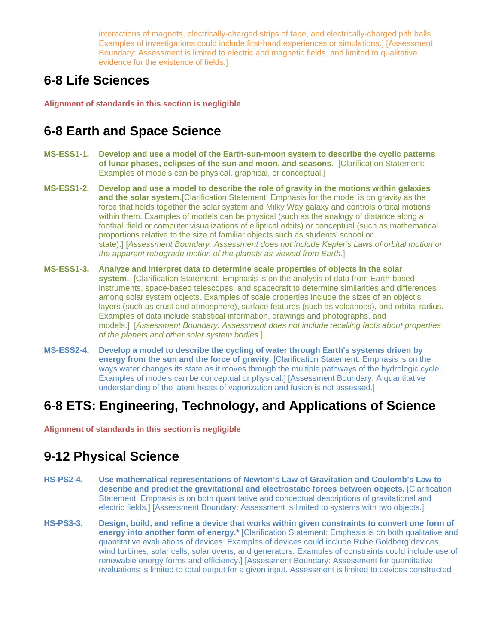interactions of magnets, electrically-charged strips of tape, and electrically-charged pith balls. Examples of investigations could include first-hand experiences or simulations.] [Assessment Boundary: Assessment is limited to electric and magnetic fields, and limited to qualitative evidence for the existence of fields.]

#### **6-8 Life Sciences**

**Alignment of standards in this section is negligible** 

# **6-8 Earth and Space Science**

- **MS-ESS1-1. Develop and use a model of the Earth-sun-moon system to describe the cyclic patterns of lunar phases, eclipses of the sun and moon, and seasons.** [Clarification Statement: Examples of models can be physical, graphical, or conceptual.]
- **MS-ESS1-2. Develop and use a model to describe the role of gravity in the motions within galaxies and the solar system.**[Clarification Statement: Emphasis for the model is on gravity as the force that holds together the solar system and Milky Way galaxy and controls orbital motions within them. Examples of models can be physical (such as the analogy of distance along a football field or computer visualizations of elliptical orbits) or conceptual (such as mathematical proportions relative to the size of familiar objects such as students' school or state).] [*Assessment Boundary: Assessment does not include Kepler's Laws of orbital motion or the apparent retrograde motion of the planets as viewed from Earth.*]
- **MS-ESS1-3. Analyze and interpret data to determine scale properties of objects in the solar system.** [Clarification Statement: Emphasis is on the analysis of data from Earth-based instruments, space-based telescopes, and spacecraft to determine similarities and differences among solar system objects. Examples of scale properties include the sizes of an object's layers (such as crust and atmosphere), surface features (such as volcanoes), and orbital radius. Examples of data include statistical information, drawings and photographs, and models.] [*Assessment Boundary: Assessment does not include recalling facts about properties of the planets and other solar system bodies.*]
- **MS-ESS2-4. Develop a model to describe the cycling of water through Earth's systems driven by energy from the sun and the force of gravity.** [Clarification Statement: Emphasis is on the ways water changes its state as it moves through the multiple pathways of the hydrologic cycle. Examples of models can be conceptual or physical.] [Assessment Boundary: A quantitative understanding of the latent heats of vaporization and fusion is not assessed.]

#### **6-8 ETS: Engineering, Technology, and Applications of Science**

**Alignment of standards in this section is negligible** 

# **9-12 Physical Science**

- **HS-PS2-4. Use mathematical representations of Newton's Law of Gravitation and Coulomb's Law to describe and predict the gravitational and electrostatic forces between objects.** [Clarification Statement: Emphasis is on both quantitative and conceptual descriptions of gravitational and electric fields.] [Assessment Boundary: Assessment is limited to systems with two objects.]
- **HS-PS3-3. Design, build, and refine a device that works within given constraints to convert one form of energy into another form of energy.\*** [Clarification Statement: Emphasis is on both qualitative and quantitative evaluations of devices. Examples of devices could include Rube Goldberg devices, wind turbines, solar cells, solar ovens, and generators. Examples of constraints could include use of renewable energy forms and efficiency.] [Assessment Boundary: Assessment for quantitative evaluations is limited to total output for a given input. Assessment is limited to devices constructed